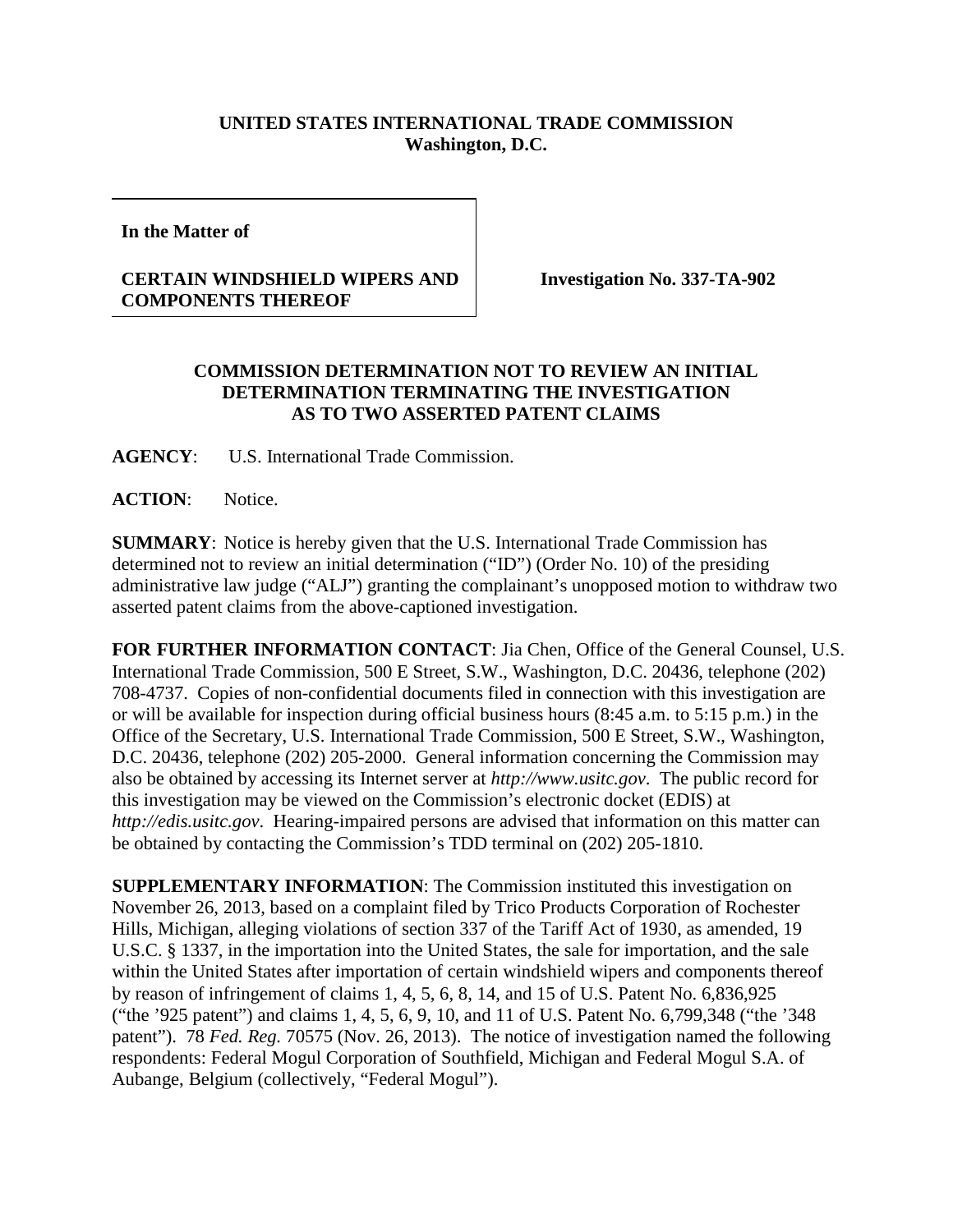## **UNITED STATES INTERNATIONAL TRADE COMMISSION Washington, D.C.**

**In the Matter of** 

## **CERTAIN WINDSHIELD WIPERS AND COMPONENTS THEREOF**

**Investigation No. 337-TA-902**

## **COMMISSION DETERMINATION NOT TO REVIEW AN INITIAL DETERMINATION TERMINATING THE INVESTIGATION AS TO TWO ASSERTED PATENT CLAIMS**

**AGENCY**: U.S. International Trade Commission.

**ACTION**: Notice.

**SUMMARY**: Notice is hereby given that the U.S. International Trade Commission has determined not to review an initial determination ("ID") (Order No. 10) of the presiding administrative law judge ("ALJ") granting the complainant's unopposed motion to withdraw two asserted patent claims from the above-captioned investigation.

**FOR FURTHER INFORMATION CONTACT**: Jia Chen, Office of the General Counsel, U.S. International Trade Commission, 500 E Street, S.W., Washington, D.C. 20436, telephone (202) 708-4737. Copies of non-confidential documents filed in connection with this investigation are or will be available for inspection during official business hours (8:45 a.m. to 5:15 p.m.) in the Office of the Secretary, U.S. International Trade Commission, 500 E Street, S.W., Washington, D.C. 20436, telephone (202) 205-2000. General information concerning the Commission may also be obtained by accessing its Internet server at *http://www.usitc.gov*. The public record for this investigation may be viewed on the Commission's electronic docket (EDIS) at *http://edis.usitc.gov*. Hearing-impaired persons are advised that information on this matter can be obtained by contacting the Commission's TDD terminal on (202) 205-1810.

**SUPPLEMENTARY INFORMATION**: The Commission instituted this investigation on November 26, 2013, based on a complaint filed by Trico Products Corporation of Rochester Hills, Michigan, alleging violations of section 337 of the Tariff Act of 1930, as amended, 19 U.S.C. § 1337, in the importation into the United States, the sale for importation, and the sale within the United States after importation of certain windshield wipers and components thereof by reason of infringement of claims 1, 4, 5, 6, 8, 14, and 15 of U.S. Patent No. 6,836,925 ("the '925 patent") and claims 1, 4, 5, 6, 9, 10, and 11 of U.S. Patent No. 6,799,348 ("the '348 patent"). 78 *Fed. Reg.* 70575 (Nov. 26, 2013).The notice of investigation named the following respondents: Federal Mogul Corporation of Southfield, Michigan and Federal Mogul S.A. of Aubange, Belgium (collectively, "Federal Mogul").